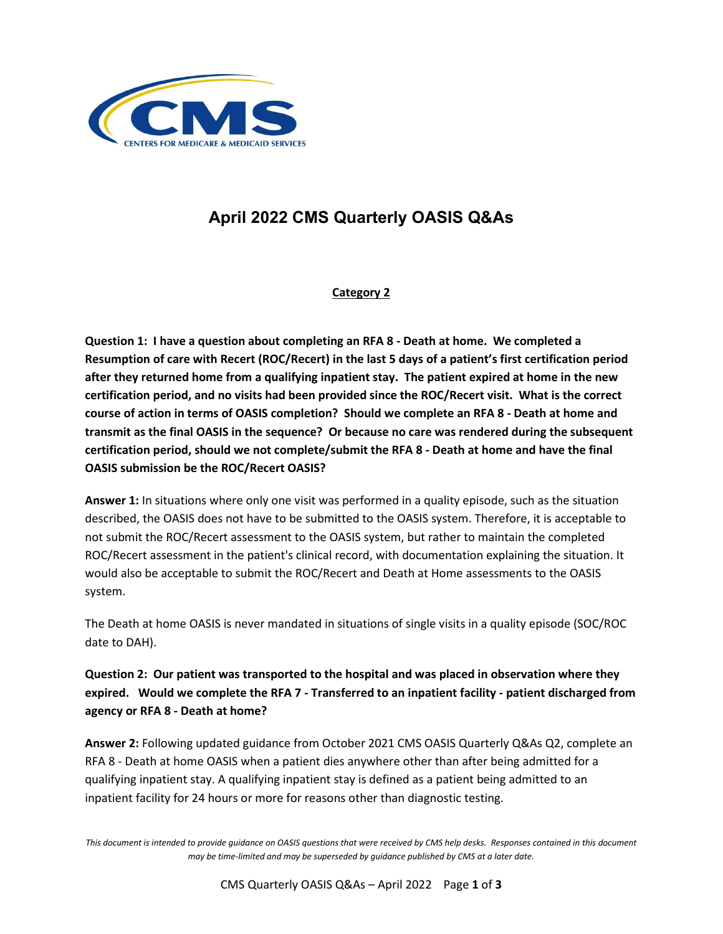

# **April 2022 CMS Quarterly OASIS Q&As**

## **Category 2**

**Question 1: I have a question about completing an RFA 8 - Death at home. We completed a Resumption of care with Recert (ROC/Recert) in the last 5 days of a patient's first certification period after they returned home from a qualifying inpatient stay. The patient expired at home in the new certification period, and no visits had been provided since the ROC/Recert visit. What is the correct course of action in terms of OASIS completion? Should we complete an RFA 8 - Death at home and transmit as the final OASIS in the sequence? Or because no care was rendered during the subsequent certification period, should we not complete/submit the RFA 8 - Death at home and have the final OASIS submission be the ROC/Recert OASIS?**

**Answer 1:** In situations where only one visit was performed in a quality episode, such as the situation described, the OASIS does not have to be submitted to the OASIS system. Therefore, it is acceptable to not submit the ROC/Recert assessment to the OASIS system, but rather to maintain the completed ROC/Recert assessment in the patient's clinical record, with documentation explaining the situation. It would also be acceptable to submit the ROC/Recert and Death at Home assessments to the OASIS system.

The Death at home OASIS is never mandated in situations of single visits in a quality episode (SOC/ROC date to DAH).

**Question 2: Our patient was transported to the hospital and was placed in observation where they expired. Would we complete the RFA 7 - Transferred to an inpatient facility - patient discharged from agency or RFA 8 - Death at home?** 

**Answer 2:** Following updated guidance from October 2021 CMS OASIS Quarterly Q&As Q2, complete an RFA 8 - Death at home OASIS when a patient dies anywhere other than after being admitted for a qualifying inpatient stay. A qualifying inpatient stay is defined as a patient being admitted to an inpatient facility for 24 hours or more for reasons other than diagnostic testing.

*This document is intended to provide guidance on OASIS questions that were received by CMS help desks. Responses contained in this document may be time-limited and may be superseded by guidance published by CMS at a later date.*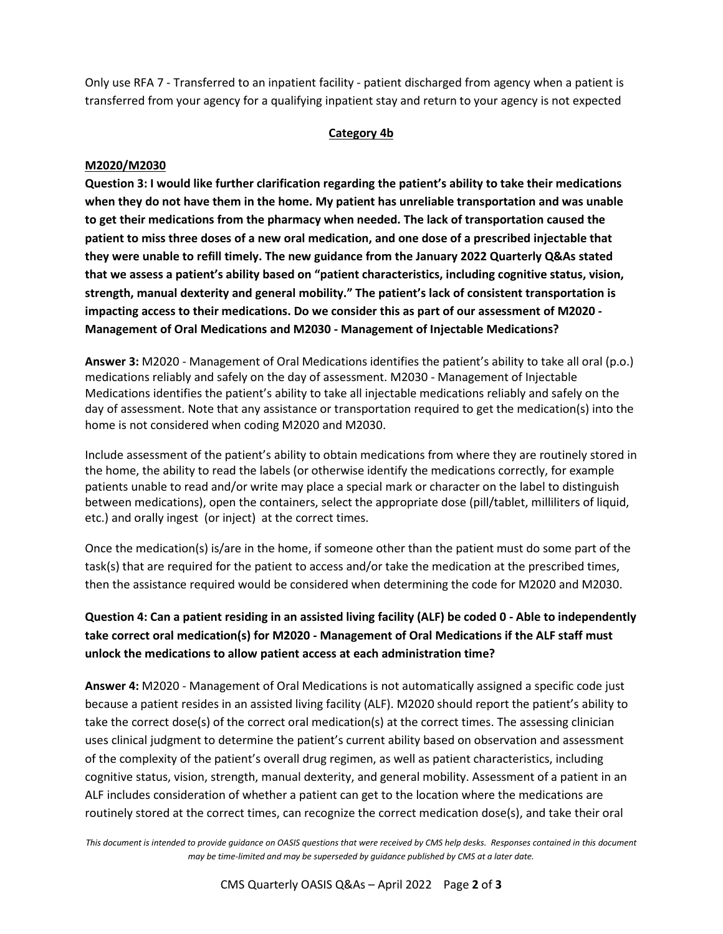Only use RFA 7 - Transferred to an inpatient facility - patient discharged from agency when a patient is transferred from your agency for a qualifying inpatient stay and return to your agency is not expected

#### **Category 4b**

#### **M2020/M2030**

**Question 3: I would like further clarification regarding the patient's ability to take their medications when they do not have them in the home. My patient has unreliable transportation and was unable to get their medications from the pharmacy when needed. The lack of transportation caused the patient to miss three doses of a new oral medication, and one dose of a prescribed injectable that they were unable to refill timely. The new guidance from the January 2022 Quarterly Q&As stated that we assess a patient's ability based on "patient characteristics, including cognitive status, vision, strength, manual dexterity and general mobility." The patient's lack of consistent transportation is impacting access to their medications. Do we consider this as part of our assessment of M2020 - Management of Oral Medications and M2030 - Management of Injectable Medications?** 

**Answer 3:** M2020 - Management of Oral Medications identifies the patient's ability to take all oral (p.o.) medications reliably and safely on the day of assessment. M2030 - Management of Injectable Medications identifies the patient's ability to take all injectable medications reliably and safely on the day of assessment. Note that any assistance or transportation required to get the medication(s) into the home is not considered when coding M2020 and M2030.

Include assessment of the patient's ability to obtain medications from where they are routinely stored in the home, the ability to read the labels (or otherwise identify the medications correctly, for example patients unable to read and/or write may place a special mark or character on the label to distinguish between medications), open the containers, select the appropriate dose (pill/tablet, milliliters of liquid, etc.) and orally ingest (or inject) at the correct times.

Once the medication(s) is/are in the home, if someone other than the patient must do some part of the task(s) that are required for the patient to access and/or take the medication at the prescribed times, then the assistance required would be considered when determining the code for M2020 and M2030.

**Question 4: Can a patient residing in an assisted living facility (ALF) be coded 0 - Able to independently take correct oral medication(s) for M2020 - Management of Oral Medications if the ALF staff must unlock the medications to allow patient access at each administration time?**

**Answer 4:** M2020 - Management of Oral Medications is not automatically assigned a specific code just because a patient resides in an assisted living facility (ALF). M2020 should report the patient's ability to take the correct dose(s) of the correct oral medication(s) at the correct times. The assessing clinician uses clinical judgment to determine the patient's current ability based on observation and assessment of the complexity of the patient's overall drug regimen, as well as patient characteristics, including cognitive status, vision, strength, manual dexterity, and general mobility. Assessment of a patient in an ALF includes consideration of whether a patient can get to the location where the medications are routinely stored at the correct times, can recognize the correct medication dose(s), and take their oral

*This document is intended to provide guidance on OASIS questions that were received by CMS help desks. Responses contained in this document may be time-limited and may be superseded by guidance published by CMS at a later date.*